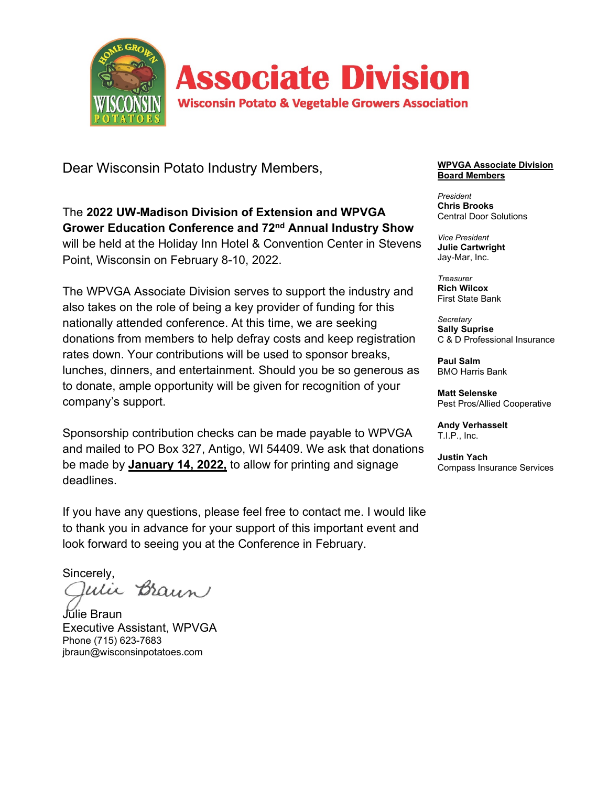

Dear Wisconsin Potato Industry Members,

The **2022 UW-Madison Division of Extension and WPVGA Grower Education Conference and 72nd Annual Industry Show** will be held at the Holiday Inn Hotel & Convention Center in Stevens Point, Wisconsin on February 8-10, 2022.

The WPVGA Associate Division serves to support the industry and also takes on the role of being a key provider of funding for this nationally attended conference. At this time, we are seeking donations from members to help defray costs and keep registration rates down. Your contributions will be used to sponsor breaks, lunches, dinners, and entertainment. Should you be so generous as to donate, ample opportunity will be given for recognition of your company's support.

Sponsorship contribution checks can be made payable to WPVGA and mailed to PO Box 327, Antigo, WI 54409. We ask that donations be made by **January 14, 2022,** to allow for printing and signage deadlines.

If you have any questions, please feel free to contact me. I would like to thank you in advance for your support of this important event and look forward to seeing you at the Conference in February.

Sincerely,<br>*Qulic Braun* 

Júlie Braun Executive Assistant, WPVGA Phone (715) 623-7683 jbraun@wisconsinpotatoes.com

### **WPVGA Associate Division Board Members**

*President* **Chris Brooks** Central Door Solutions

*Vice President* **Julie Cartwright** Jay-Mar, Inc.

*Treasurer* **Rich Wilcox** First State Bank

*Secretary* **Sally Suprise** C & D Professional Insurance

**Paul Salm** BMO Harris Bank

**Matt Selenske** Pest Pros/Allied Cooperative

**Andy Verhasselt** T.I.P., Inc.

**Justin Yach** Compass Insurance Services